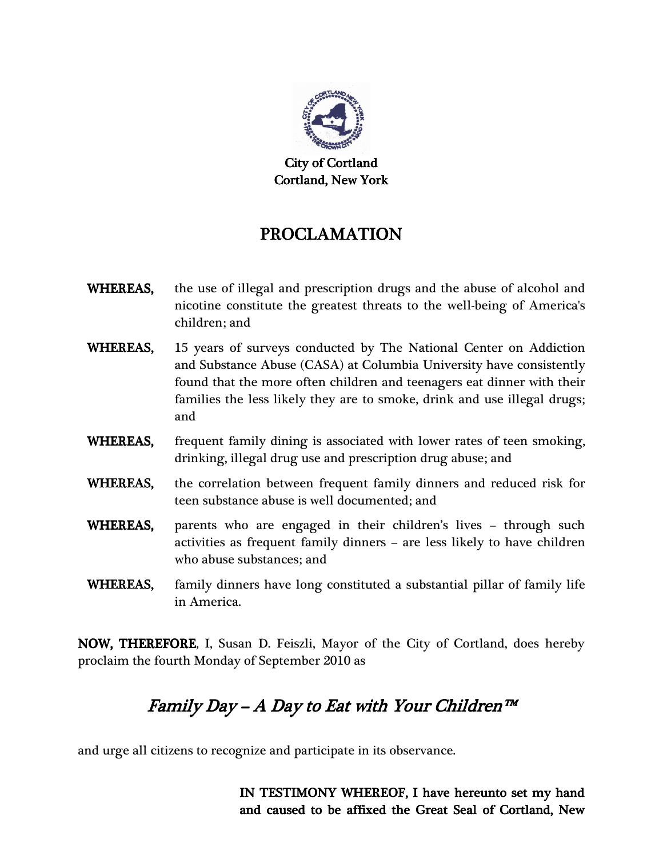

City of Cortland Cortland, New York

## PROCLAMATION

- WHEREAS, the use of illegal and prescription drugs and the abuse of alcohol and nicotine constitute the greatest threats to the well-being of America's children; and
- WHEREAS, 15 years of surveys conducted by The National Center on Addiction and Substance Abuse (CASA) at Columbia University have consistently found that the more often children and teenagers eat dinner with their families the less likely they are to smoke, drink and use illegal drugs; and
- WHEREAS, frequent family dining is associated with lower rates of teen smoking, drinking, illegal drug use and prescription drug abuse; and
- WHEREAS, the correlation between frequent family dinners and reduced risk for teen substance abuse is well documented; and
- WHEREAS, parents who are engaged in their children's lives through such activities as frequent family dinners – are less likely to have children who abuse substances; and
- WHEREAS, family dinners have long constituted a substantial pillar of family life in America.

NOW, THEREFORE, I, Susan D. Feiszli, Mayor of the City of Cortland, does hereby proclaim the fourth Monday of September 2010 as

## Family Day – A Day to Eat with Your Children™

and urge all citizens to recognize and participate in its observance.

IN TESTIMONY WHEREOF, I have hereunto set my hand and caused to be affixed the Great Seal of Cortland, New